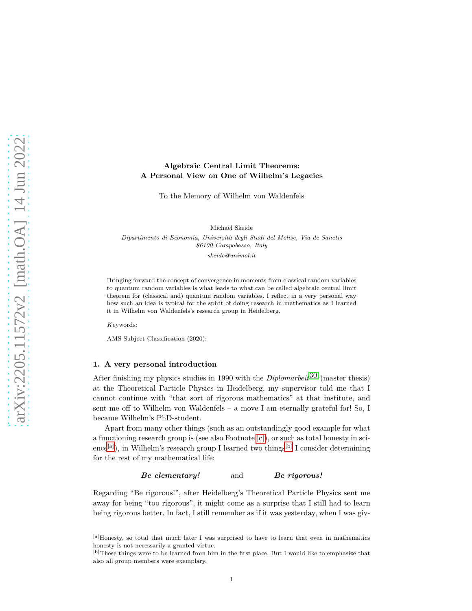# **Algebraic Central Limit Theorems: A Personal View on One of Wilhelm's Legacies**

To the Memory of Wilhelm von Waldenfels

Michael Skeide

*Dipartimento di Economia, Universit`a degli Studi del Molise, Via de Sanctis 86100 Campobasso, Italy skeide@unimol.it*

Bringing forward the concept of convergence in moments from classical random variables to quantum random variables is what leads to what can be called algebraic central limit theorem for (classical and) quantum random variables. I reflect in a very personal way how such an idea is typical for the spirit of doing research in mathematics as I learned it in Wilhelm von Waldenfels's research group in Heidelberg.

*K*eywords:

AMS Subject Classification (2020):

# **1. A very personal introduction**

After finishing my physics studies in 1990 with the *Diplomarbeit*[30](#page-18-0) (master thesis) at the Theoretical Particle Physics in Heidelberg, my supervisor told me that I cannot continue with "that sort of rigorous mathematics" at that institute, and sent me off to Wilhelm von Waldenfels – a move I am eternally grateful for! So, I became Wilhelm's PhD-student.

Apart from many other things (such as an outstandingly good example for what a functioning research group is (see also Footnote [\[c\]\)](#page-1-0), or such as total honesty in sci-ence<sup>[\[a\]](#page-0-0)</sup>), in Wilhelm's research group I learned two things<sup>[\[b\]](#page-0-1)</sup> I consider determining for the rest of my mathematical life:

# *Be elementary!* and *Be rigorous!*

Regarding "Be rigorous!", after Heidelberg's Theoretical Particle Physics sent me away for being "too rigorous", it might come as a surprise that I still had to learn being rigorous better. In fact, I still remember as if it was yesterday, when I was giv-

<span id="page-0-0"></span><sup>[</sup>a]Honesty, so total that much later I was surprised to have to learn that even in mathematics honesty is not necessarily a granted virtue.

<span id="page-0-1"></span><sup>[</sup>b]These things were to be learned from him in the first place. But I would like to emphasize that also all group members were exemplary.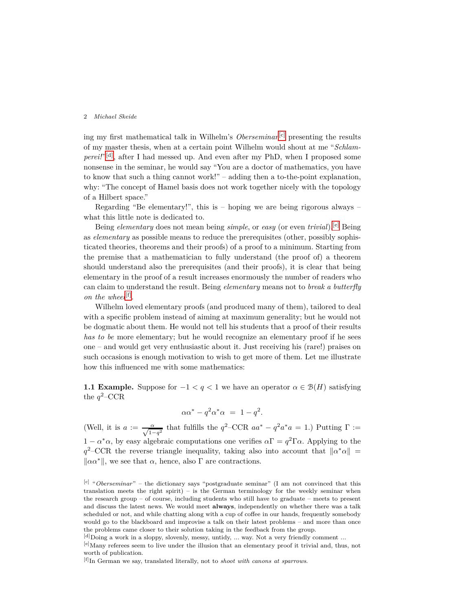ing my first mathematical talk in Wilhelm's *Oberseminar*<sup>[\[c\]](#page-1-0)</sup> presenting the results of my master thesis, when at a certain point Wilhelm would shout at me "*Schlamperei!*" [\[d\]](#page-1-1), after I had messed up. And even after my PhD, when I proposed some nonsense in the seminar, he would say "You are a doctor of mathematics, you have to know that such a thing cannot work!" – adding then a to-the-point explanation, why: "The concept of Hamel basis does not work together nicely with the topology of a Hilbert space."

Regarding "Be elementary!", this is  $-$  hoping we are being rigorous always  $$ what this little note is dedicated to.

Being *elementary* does not mean being *simple*, or *easy* (or even *trivial*).[\[e\]](#page-1-2) Being as *elementary* as possible means to reduce the prerequisites (other, possibly sophisticated theories, theorems and their proofs) of a proof to a minimum. Starting from the premise that a mathematician to fully understand (the proof of) a theorem should understand also the prerequisites (and their proofs), it is clear that being elementary in the proof of a result increases enormously the number of readers who can claim to understand the result. Being *elementary* means not to *break a butterfly* on the wheel<sup>[\[f\]](#page-1-3)</sup>.

Wilhelm loved elementary proofs (and produced many of them), tailored to deal with a specific problem instead of aiming at maximum generality; but he would not be dogmatic about them. He would not tell his students that a proof of their results *has to be* more elementary; but he would recognize an elementary proof if he sees one – and would get very enthusiastic about it. Just receiving his (rare!) praises on such occasions is enough motivation to wish to get more of them. Let me illustrate how this influenced me with some mathematics:

**1.1 Example.** Suppose for  $-1 < q < 1$  we have an operator  $\alpha \in \mathcal{B}(H)$  satisfying the  $q^2$ –CCR

$$
\alpha \alpha^* - q^2 \alpha^* \alpha = 1 - q^2.
$$

(Well, it is  $a := \frac{\alpha}{\sqrt{1-q^2}}$  that fulfills the  $q^2$ –CCR  $aa^* - q^2a^*a = 1$ .) Putting  $\Gamma :=$  $1 - α^*α$ , by easy algebraic computations one verifies  $αΓ = q^2Γα$ . Applying to the  $q^2$ –CCR the reverse triangle inequality, taking also into account that  $||\alpha^* \alpha|| =$  $\|\alpha\alpha^*\|$ , we see that  $\alpha$ , hence, also  $\Gamma$  are contractions.

<span id="page-1-0"></span><sup>[</sup>c] "*Oberseminar*" – the dictionary says "postgraduate seminar" (I am not convinced that this translation meets the right spirit) – is the German terminology for the weekly seminar when the research group – of course, including students who still have to graduate – meets to present and discuss the latest news. We would meet **always**, independently on whether there was a talk scheduled or not, and while chatting along with a cup of coffee in our hands, frequently somebody would go to the blackboard and improvise a talk on their latest problems – and more than once the problems came closer to their solution taking in the feedback from the group.

 $[d]$  Doing a work in a sloppy, slovenly, messy, untidy, ... way. Not a very friendly comment ...

<span id="page-1-2"></span><span id="page-1-1"></span><sup>[</sup>e]Many referees seem to live under the illusion that an elementary proof it trivial and, thus, not worth of publication.

<span id="page-1-3"></span><sup>[</sup>f]In German we say, translated literally, not to *shoot with canons at sparrows*.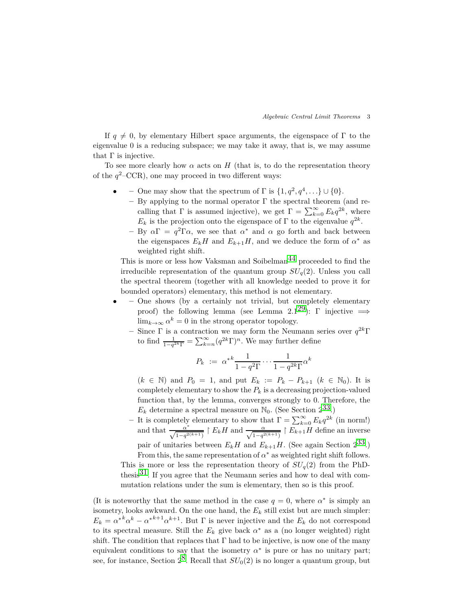If  $q \neq 0$ , by elementary Hilbert space arguments, the eigenspace of  $\Gamma$  to the eigenvalue 0 is a reducing subspace; we may take it away, that is, we may assume that  $\Gamma$  is injective.

To see more clearly how  $\alpha$  acts on  $H$  (that is, to do the representation theory of the  $q^2$ –CCR), one may proceed in two different ways:

- **–** One may show that the spectrum of  $\Gamma$  is  $\{1, q^2, q^4, \ldots\} \cup \{0\}.$ 
	- **–** By applying to the normal operator Γ the spectral theorem (and recalling that  $\Gamma$  is assumed injective), we get  $\Gamma = \sum_{k=0}^{\infty} E_k q^{2k}$ , where *E<sub>k</sub>* is the projection onto the eigenspace of  $\Gamma$  to the eigenvalue  $q^{2k}$ .
	- **–** By *α*Γ = *q* <sup>2</sup>Γ*α*, we see that *α* <sup>∗</sup> and *α* go forth and back between the eigenspaces  $E_k H$  and  $E_{k+1} H$ , and we deduce the form of  $\alpha^*$  as weighted right shift.

This is more or less how Vaksman and Soibelman<sup>44</sup> proceeded to find the irreducible representation of the quantum group  $SU_q(2)$ . Unless you call the spectral theorem (together with all knowledge needed to prove it for bounded operators) elementary, this method is not elementary.

- **–** One shows (by a certainly not trivial, but completely elementary proof) the following lemma (see Lemma 2.1<sup>29</sup>): Γ injective  $\implies$  $\lim_{k\to\infty} \alpha^k = 0$  in the strong operator topology.
	- **–** Since Γ is a contraction we may form the Neumann series over *q* <sup>2</sup>*<sup>k</sup>*Γ to find  $\frac{1}{1-q^{2k}\Gamma} = \sum_{k=n}^{\infty} (q^{2k}\Gamma)^n$ . We may further define

$$
P_k := \alpha^{*k} \frac{1}{1 - q^2 \Gamma} \cdots \frac{1}{1 - q^{2k} \Gamma} \alpha^k
$$

 $(k ∈ ℕ)$  and  $P_0 = 1$ , and put  $E_k := P_k - P_{k+1}$  ( $k ∈ ℕ_0$ ). It is completely elementary to show the  $P_k$  is a decreasing projection-valued function that, by the lemma, converges strongly to 0. Therefore, the  $E_k$  determine a spectral measure on  $\mathbb{N}_0$ . (See Section  $2^{33}$ .)

**–** It is completely elementary to show that  $\Gamma = \sum_{k=0}^{\infty} E_k q^{2k}$  (in norm!) and that  $\frac{\alpha^*}{\sqrt{1-q^{2(k+1)}}}$  |  $E_kH$  and  $\frac{\alpha}{\sqrt{1-q^{2(k+1)}}}$  |  $E_{k+1}H$  define an inverse pair of unitaries between  $E_k H$  and  $E_{k+1} H$ . (See again Section  $2^{33}$ .)

From this, the same representation of  $\alpha^*$  as weighted right shift follows. This is more or less the representation theory of  $SU_q(2)$  from the PhDthesis<sup>31</sup>. If you agree that the Neumann series and how to deal with commutation relations under the sum is elementary, then so is this proof.

(It is noteworthy that the same method in the case  $q = 0$ , where  $\alpha^*$  is simply an isometry, looks awkward. On the one hand, the  $E_k$  still exist but are much simpler:  $E_k = \alpha^{*k} \alpha^k - \alpha^{*k+1} \alpha^{k+1}$ . But  $\Gamma$  is never injective and the  $E_k$  do not correspond to its spectral measure. Still the  $E_k$  give back  $\alpha^*$  as a (no longer weighted) right shift. The condition that replaces that  $\Gamma$  had to be injective, is now one of the many equivalent conditions to say that the isometry  $\alpha^*$  is pure or has no unitary part; see, for instance, Section  $2^8$ . Recall that  $SU_0(2)$  is no longer a quantum group, but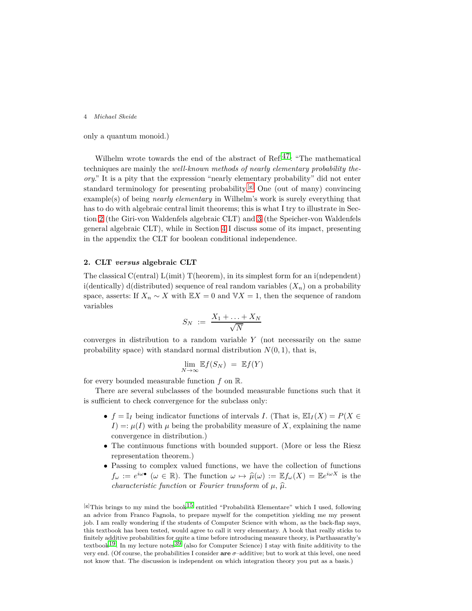only a quantum monoid.)

Wilhelm wrote towards the end of the abstract of Ref.<sup>47</sup>: "The mathematical techniques are mainly the *well-known methods of nearly elementary probability theory*." It is a pity that the expression "nearly elementary probability" did not enter standard terminology for presenting probability.<sup>[\[g\]](#page-3-0)</sup> One (out of many) convincing example(s) of being *nearly elementary* in Wilhelm's work is surely everything that has to do with algebraic central limit theorems; this is what I try to illustrate in Section [2](#page-3-1) (the Giri-von Waldenfels algebraic CLT) and [3](#page-8-0) (the Speicher-von Waldenfels general algebraic CLT), while in Section [4](#page-12-0) I discuss some of its impact, presenting in the appendix the CLT for boolean conditional independence.

# <span id="page-3-1"></span>**2. CLT** *versus* **algebraic CLT**

The classical C(entral) L(imit) T(heorem), in its simplest form for an i(ndependent) i(dentically) d(distributed) sequence of real random variables  $(X_n)$  on a probability space, asserts: If  $X_n \sim X$  with  $\mathbb{E} X = 0$  and  $\mathbb{V} X = 1$ , then the sequence of random variables

$$
S_N \ := \ \frac{X_1 + \ldots + X_N}{\sqrt{N}}
$$

converges in distribution to a random variable *Y* (not necessarily on the same probability space) with standard normal distribution  $N(0, 1)$ , that is,

$$
\lim_{N \to \infty} \mathbb{E} f(S_N) = \mathbb{E} f(Y)
$$

for every bounded measurable function *f* on R.

There are several subclasses of the bounded measurable functions such that it is sufficient to check convergence for the subclass only:

- $f = \mathbb{I}_I$  being indicator functions of intervals *I*. (That is,  $\mathbb{E} \mathbb{I}_I(X) = P(X \in$  $I$ ) =:  $\mu(I)$  with  $\mu$  being the probability measure of *X*, explaining the name convergence in distribution.)
- The continuous functions with bounded support. (More or less the Riesz representation theorem.)
- Passing to complex valued functions, we have the collection of functions  $f_{\omega} := e^{i\omega} \bullet (\omega \in \mathbb{R})$ . The function  $\omega \mapsto \hat{\mu}(\omega) := \mathbb{E} f_{\omega}(X) = \mathbb{E} e^{i\omega X}$  is the *characteristic function* or *Fourier transform* of  $\mu$ ,  $\hat{\mu}$ .

<span id="page-3-0"></span> $\left[\mathbf{g}\right]$ This brings to my mind the book<sup>[15](#page-17-1)</sup> entitled "Probabilità Elementare" which I used, following an advice from Franco Fagnola, to prepare myself for the competition yielding me my present job. I am really wondering if the students of Computer Science with whom, as the back-flap says, this textbook has been tested, would agree to call it very elementary. A book that really sticks to finitely additive probabilities for quite a time before introducing measure theory, is Parthasarathy's textbook<sup>19</sup>. In my lecture notes<sup>39</sup> (also for Computer Science) I stay with finite additivity to the very end. (Of course, the probabilities I consider **are** *σ*–additive; but to work at this level, one need not know that. The discussion is independent on which integration theory you put as a basis.)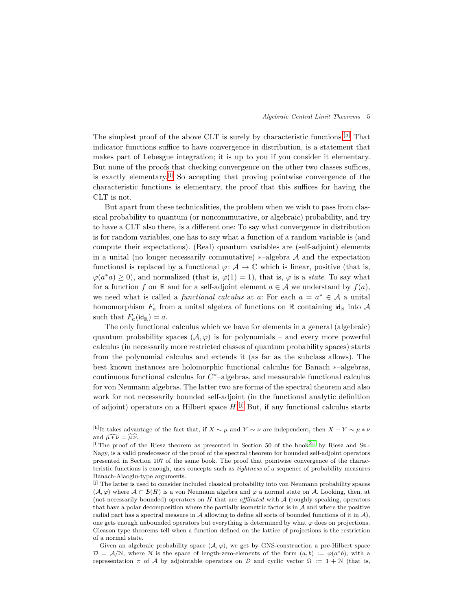The simplest proof of the above CLT is surely by characteristic functions.<sup>[\[h\]](#page-4-0)</sup> That indicator functions suffice to have convergence in distribution, is a statement that makes part of Lebesgue integration; it is up to you if you consider it elementary. But none of the proofs that checking convergence on the other two classes suffices, is exactly elementary.[\[i\]](#page-4-1) So accepting that proving pointwise convergence of the characteristic functions is elementary, the proof that this suffices for having the CLT is not.

But apart from these technicalities, the problem when we wish to pass from classical probability to quantum (or noncommutative, or algebraic) probability, and try to have a CLT also there, is a different one: To say what convergence in distribution is for random variables, one has to say what a function of a random variable is (and compute their expectations). (Real) quantum variables are (self-adjoint) elements in a unital (no longer necessarily commutative)  $*$ –algebra  $A$  and the expectation functional is replaced by a functional  $\varphi: \mathcal{A} \to \mathbb{C}$  which is linear, positive (that is,  $\varphi(a^*a) \geq 0$ , and normalized (that is,  $\varphi(1) = 1$ ), that is,  $\varphi$  is a *state*. To say what for a function f on R and for a self-adjoint element  $a \in \mathcal{A}$  we understand by  $f(a)$ , we need what is called a *functional calculus* at *a*: For each  $a = a^* \in A$  a unital homomorphism  $F_a$  from a unital algebra of functions on  $\mathbb R$  containing  $\mathsf{id}_{\mathbb R}$  into  $\mathcal A$ such that  $F_a(\text{id}_{\mathbb{R}}) = a$ .

The only functional calculus which we have for elements in a general (algebraic) quantum probability spaces  $(\mathcal{A}, \varphi)$  is for polynomials – and every more powerful calculus (in necessarily more restricted classes of quantum probability spaces) starts from the polynomial calculus and extends it (as far as the subclass allows). The best known instances are holomorphic functional calculus for Banach ∗–algebras, continuous functional calculus for *C* <sup>∗</sup>–algebras, and measurable functional calculus for von Neumann algebras. The latter two are forms of the spectral theorem and also work for not necessarily bounded self-adjoint (in the functional analytic definition of adjoint) operators on a Hilbert space *H*. [\[j\]](#page-4-2) But, if any functional calculus starts

Given an algebraic probability space  $(\mathcal{A}, \varphi)$ , we get by GNS-construction a pre-Hilbert space  $\mathcal{D} = \mathcal{A}/N$ , where N is the space of length-zero-elements of the form  $(a, b) := \varphi(a^*b)$ , with a representation  $\pi$  of A by adjointable operators on D and cyclic vector  $\Omega := 1 + N$  (that is,

<span id="page-4-0"></span><sup>[</sup>h]It takes advantage of the fact that, if *X* ∼ *µ* and *Y* ∼ *ν* are independent, then *X* + *Y* ∼ *µ* ∗ *ν* and  $\widehat{\mu * \nu} = \widehat{\mu} \widehat{\nu}$ .

<span id="page-4-1"></span><sup>[</sup>i]The proof of the Riesz theorem as presented in Section 50 of the book<sup>24</sup> by Riesz and Sz.-Nagy, is a valid predecessor of the proof of the spectral theorem for bounded self-adjoint operators presented in Section 107 of the same book. The proof that pointwise convergence of the characteristic functions is enough, uses concepts such as *tightness* of a sequence of probability measures Banach-Alaoglu-type arguments.

<span id="page-4-2"></span><sup>[</sup>j] The latter is used to consider included classical probability into von Neumann probability spaces  $(\mathcal{A}, \varphi)$  where  $\mathcal{A} \subset \mathcal{B}(H)$  is a von Neumann algebra and  $\varphi$  a normal state on  $\mathcal{A}$ . Looking, then, at (not necessarily bounded) operators on *H* that are *affiliated* with A (roughly speaking, operators that have a polar decomposition where the partially isometric factor is in  $\mathcal A$  and where the positive radial part has a spectral measure in A allowing to define all sorts of bounded functions of it in  $\mathcal{A}$ ), one gets enough unbounded operators but everything is determined by what  $\varphi$  does on projections. Gleason type theorems tell when a function defined on the lattice of projections is the restriction of a normal state.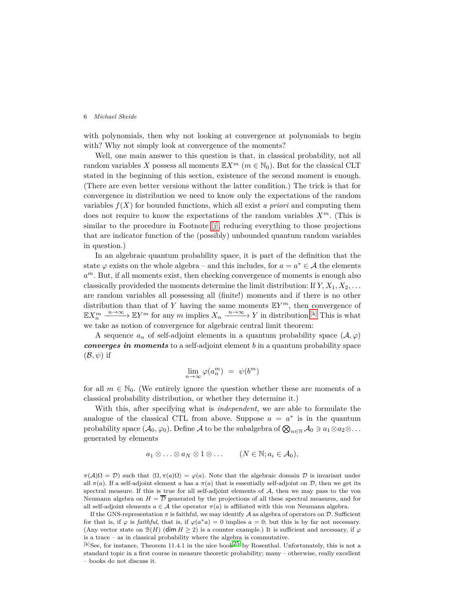with polynomials, then why not looking at convergence at polynomials to begin with? Why not simply look at convergence of the moments?

Well, one main answer to this question is that, in classical probability, not all random variables *X* possess all moments  $\mathbb{E} X^m$  ( $m \in \mathbb{N}_0$ ). But for the classical CLT stated in the beginning of this section, existence of the second moment is enough. (There are even better versions without the latter condition.) The trick is that for convergence in distribution we need to know only the expectations of the random variables  $f(X)$  for bounded functions, which all exist *a priori* and computing them does not require to know the expectations of the random variables *Xm*. (This is similar to the procedure in Footnote [\[j\],](#page-4-2) reducing everything to those projections that are indicator function of the (possibly) unbounded quantum random variables in question.)

In an algebraic quantum probability space, it is part of the definition that the state  $\varphi$  exists on the whole algebra – and this includes, for  $a = a^* \in \mathcal{A}$  the elements *a <sup>m</sup>*. But, if all moments exist, then checking convergence of moments is enough also classically provideded the moments determine the limit distribution: If  $Y, X_1, X_2, \ldots$ are random variables all possessing all (finite!) moments and if there is no other distribution than that of *Y* having the same moments E*Y <sup>m</sup>*, then convergence of  $\mathbb{E}X_n^m \xrightarrow{n \to \infty} \mathbb{E}Y^m$  for any *m* implies  $X_n \xrightarrow{n \to \infty} Y$  in distribution.<sup>[\[k\]](#page-5-0)</sup> This is what we take as notion of convergence for algebraic central limit theorem:

A sequence  $a_n$  of self-adjoint elements in a quantum probability space  $(\mathcal{A}, \varphi)$ *converges in moments* to a self-adjoint element *b* in a quantum probability space  $(\mathcal{B}, \psi)$  if

$$
\lim_{n \to \infty} \varphi(a_n^m) = \psi(b^m)
$$

for all  $m \in \mathbb{N}_0$ . (We entirely ignore the question whether these are moments of a classical probability distribution, or whether they determine it.)

With this, after specifying what is *independent*, we are able to formulate the analogue of the classical CTL from above. Suppose  $a = a^*$  is in the quantum probability space  $(\mathcal{A}_0, \varphi_0)$ . Define  $\mathcal A$  to be the subalgebra of  $\bigotimes_{n \in \mathbb{N}} \mathcal A_0 \ni a_1 \otimes a_2 \otimes \ldots$ generated by elements

$$
a_1 \otimes \ldots \otimes a_N \otimes 1 \otimes \ldots
$$
  $(N \in \mathbb{N}; a_i \in \mathcal{A}_0),$ 

 $\pi(\mathcal{A})\Omega = \mathcal{D}$ ) such that  $\langle \Omega, \pi(a)\Omega \rangle = \varphi(a)$ . Note that the algebraic domain  $\mathcal D$  is invariant under all  $\pi(a)$ . If a self-adjoint element *a* has a  $\pi(a)$  that is essentially self-adjoint on D, then we get its spectral measure. If this is true for all self-adjoint elements of A, then we may pass to the von Neumann algebra on  $H = \overline{D}$  generated by the projections of all these spectral measures, and for all self-adjoint elements  $a \in \mathcal{A}$  the operator  $\pi(a)$  is affiliated with this von Neumann algebra.

If the GNS-representation  $\pi$  is faithful, we may identify A as algebra of operators on D. Sufficient for that is, if  $\varphi$  is *faithful*, that is, if  $\varphi(a^*a) = 0$  implies  $a = 0$ ; but this is by far not necessary. (Any vector state on  $\mathcal{B}(H)$  (dim  $H > 2$ ) is a counter example.) It is sufficient and necessary, if  $\varphi$ is a trace – as in classical probability where the algebra is commutative.

<span id="page-5-0"></span> $[k]$ See, for instance, Theorem 11.4.1 in the nice book<sup>[25](#page-18-6)</sup> by Rosenthal. Unfortunately, this is not a standard topic in a first course in measure theoretic probability; many – otherwise, really excellent – books do not discuss it.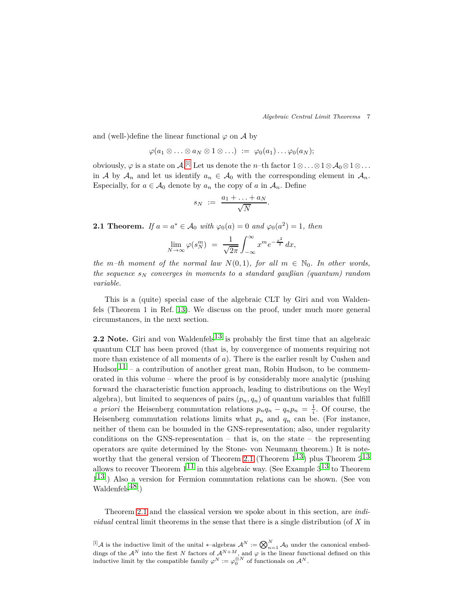*Algebraic Central Limit Theorems* 7

and (well-)define the linear functional  $\varphi$  on  $\mathcal A$  by

$$
\varphi(a_1\otimes\ldots\otimes a_N\otimes 1\otimes\ldots) \;:=\; \varphi_0(a_1)\ldots\varphi_0(a_N);
$$

obviously,  $\varphi$  is a state on  $\mathcal{A}$ .<sup>[1]</sup> Let us denote the *n*-th factor  $1 \otimes \ldots \otimes 1 \otimes \mathcal{A}_0 \otimes 1 \otimes \ldots$ in A by  $A_n$  and let us identify  $a_n \in A_0$  with the corresponding element in  $A_n$ . Especially, for  $a \in \mathcal{A}_0$  denote by  $a_n$  the copy of  $a$  in  $\mathcal{A}_n$ . Define

$$
s_N \ := \ \frac{a_1 + \ldots + a_N}{\sqrt{N}}
$$

*.*

<span id="page-6-1"></span>**2.1 Theorem.** *If*  $a = a^* \in A_0$  *with*  $\varphi_0(a) = 0$  *and*  $\varphi_0(a^2) = 1$ *, then* 

$$
\lim_{N \to \infty} \varphi(s_N^m) = \frac{1}{\sqrt{2\pi}} \int_{-\infty}^{\infty} x^m e^{-\frac{x^2}{2}} dx,
$$

*the m*–th moment of the normal law  $N(0,1)$ *, for all*  $m \in \mathbb{N}_0$ *. In other words, the sequence s<sup>N</sup> converges in moments to a standard gaußian (quantum) random variable.*

This is a (quite) special case of the algebraic CLT by Giri and von Waldenfels (Theorem 1 in Ref. [13\)](#page-17-3). We discuss on the proof, under much more general circumstances, in the next section.

**2.2 Note.** Giri and von Waldenfels<sup>13</sup> is probably the first time that an algebraic quantum CLT has been proved (that is, by convergence of moments requiring not more than existence of all moments of *a*). There is the earlier result by Cushen and  $Hudson<sup>11</sup>$  – a contribution of another great man, Robin Hudson, to be commemorated in this volume – where the proof is by considerably more analytic (pushing forward the characteristic function approach, leading to distributions on the Weyl algebra), but limited to sequences of pairs  $(p_n, q_n)$  of quantum variables that fulfill *a priori* the Heisenberg commutation relations  $p_nq_n - q_np_n = \frac{1}{i}$ . Of course, the Heisenberg commutation relations limits what  $p_n$  and  $q_n$  can be. (For instance, neither of them can be bounded in the GNS-representation; also, under regularity conditions on the GNS-representation – that is, on the state – the representing operators are quite determined by the Stone- von Neumann theorem.) It is note-worthy that the general version of Theorem [2.1](#page-6-1) (Theorem  $1^{13}$ ) plus Theorem  $2^{13}$ allows to recover Theorem  $1^{11}$  in this algebraic way. (See Example  $3^{13}$  to Theorem 1 [13.](#page-17-3)) Also a version for Fermion commutation relations can be shown. (See von Waldenfels $^{48}$ .)

Theorem [2.1](#page-6-1) and the classical version we spoke about in this section, are *individual* central limit theorems in the sense that there is a single distribution (of *X* in

<span id="page-6-0"></span> $\left[\prod_{i=1}^{n} A_i\right]$  is the inductive limit of the unital \*-algebras  $A^N := \bigotimes_{n=1}^{N} A_0$  under the canonical embeddings of the  $\mathcal{A}^N$  into the first *N* factors of  $\mathcal{A}^{N+M}$ , and  $\varphi$  is the linear functional defined on this inductive limit by the compatible family  $\varphi^N := \varphi_0^{\otimes N}$  of functionals on  $\mathcal{A}^N$ .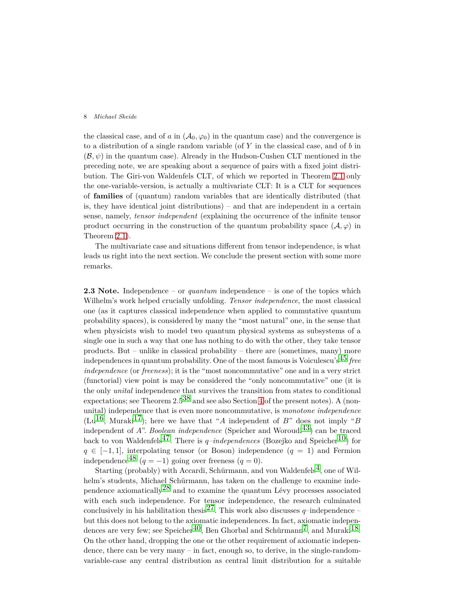the classical case, and of *a* in  $(A_0, \varphi_0)$  in the quantum case) and the convergence is to a distribution of a single random variable (of *Y* in the classical case, and of *b* in  $(\mathcal{B}, \psi)$  in the quantum case). Already in the Hudson-Cushen CLT mentioned in the preceding note, we are speaking about a sequence of pairs with a fixed joint distribution. The Giri-von Waldenfels CLT, of which we reported in Theorem [2.1](#page-6-1) only the one-variable-version, is actually a multivariate CLT: It is a CLT for sequences of **families** of (quantum) random variables that are identically distributed (that is, they have identical joint distributions) – and that are independent in a certain sense, namely, *tensor independent* (explaining the occurrence of the infinite tensor product occurring in the construction of the quantum probability space  $(\mathcal{A}, \varphi)$  in Theorem [2.1\)](#page-6-1).

The multivariate case and situations different from tensor independence, is what leads us right into the next section. We conclude the present section with some more remarks.

**2.3 Note.** Independence – or *quantum* independence – is one of the topics which Wilhelm's work helped crucially unfolding. *Tensor independence*, the most classical one (as it captures classical independence when applied to commutative quantum probability spaces), is considered by many the "most natural" one, in the sense that when physicists wish to model two quantum physical systems as subsystems of a single one in such a way that one has nothing to do with the other, they take tensor products. But – unlike in classical probability – there are (sometimes, many) more independences in quantum probability. One of the most famous is Voiculescu's[45](#page-19-3) *free independence* (or *freeness*); it is the "most noncommutative" one and in a very strict (functorial) view point is may be considered the "only noncommutative" one (it is the only *unital* independence that survives the transition from states to conditional expectations; see Theorem  $2.5^{38}$  $2.5^{38}$  $2.5^{38}$  and see also Section [4](#page-12-0) of the present notes). A (nonunital) independence that is even more noncommutative, is *monotone independence*  $(Lu^{16}, Muraki^{17})$ ; here we have that "*A* independent of *B*" does not imply "*B* independent of  $A$ ". *Boolean independence* (Speicher and Woroudi<sup>43</sup>) can be traced back to von Waldenfels<sup>47</sup>. There is  $q$ *-independences* (Bozejko and Speicher<sup>10</sup>) for  $q \in [-1, 1]$ , interpolating tensor (or Boson) independence  $(q = 1)$  and Fermion independence<sup>[48](#page-19-2)</sup> ( $q = -1$ ) going over freeness ( $q = 0$ ).

Starting (probably) with Accardi, Schürmann, and von Waldenfels<sup>4</sup>, one of Wilhelm's students, Michael Schürmann, has taken on the challenge to examine independence axiomatically  $28$  and to examine the quantum Lévy processes associated with each such independence. For tensor independence, the research culminated conclusively in his habilitation thesis<sup>27</sup>. This work also discusses  $q$ –independence – but this does not belong to the axiomatic independences. In fact, axiomatic independences are very few; see Speicher<sup>40</sup>, Ben Ghorbal and Schürmann<sup>7</sup>, and Muraki<sup>18</sup>. On the other hand, dropping the one or the other requirement of axiomatic independence, there can be very many – in fact, enough so, to derive, in the single-randomvariable-case any central distribution as central limit distribution for a suitable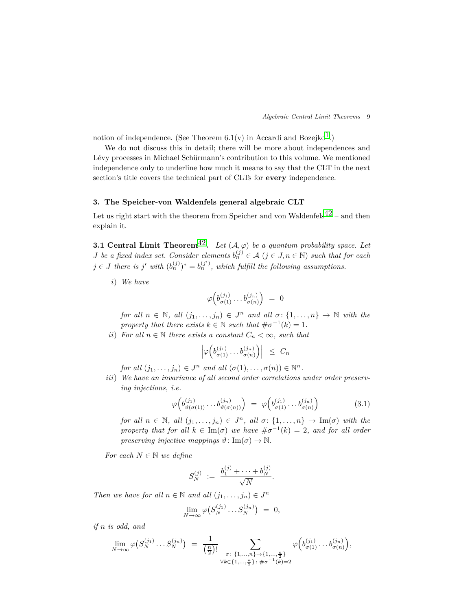notion of independence. (See Theorem 6.1(v) in Accardi and Bozejko<sup>1</sup>.)

We do not discuss this in detail; there will be more about independences and Lévy processes in Michael Schürmann's contribution to this volume. We mentioned independence only to underline how much it means to say that the CLT in the next section's title covers the technical part of CLTs for **every** independence.

# <span id="page-8-0"></span>**3. The Speicher-von Waldenfels general algebraic CLT**

<span id="page-8-2"></span>Let us right start with the theorem from Speicher and von Waldenfels<sup>[42](#page-19-6)</sup> – and then explain it.

**3.1 Central Limit Theorem<sup>[42](#page-19-6)</sup>.** *Let*  $(A, \varphi)$  *be a quantum probability space. Let J be a fixed index set. Consider elements*  $b_n^{(j)} \in \mathcal{A}$  ( $j \in J, n \in \mathbb{N}$ ) *such that for each*  $j \in J$  *there is*  $j'$  *with*  $(b_n^{(j)})^* = b_n^{(j')}$ , *which fulfill the following assumptions.* 

*i*) *We have*

$$
\varphi\Big(b^{(j_1)}_{\sigma(1)}\dots b^{(j_n)}_{\sigma(n)}\Big)~=~0
$$

*for all*  $n \in \mathbb{N}$ *, all*  $(j_1, \ldots, j_n) \in J^n$  *and all*  $\sigma: \{1, \ldots, n\} \to \mathbb{N}$  *with the property that there exists*  $k \in \mathbb{N}$  *such that*  $\#\sigma^{-1}(k) = 1$ *.* 

*ii*) *For all*  $n \in \mathbb{N}$  *there exists a constant*  $C_n < \infty$ *, such that* 

$$
\left|\varphi\left(b_{\sigma(1)}^{(j_1)}\ldots b_{\sigma(n)}^{(j_n)}\right)\right| \leq C_n
$$

*for all*  $(j_1, \ldots, j_n) \in J^n$  *and all*  $(\sigma(1), \ldots, \sigma(n)) \in \mathbb{N}^n$ .

*iii*) *We have an invariance of all second order correlations under order preserving injections, i.e.*

<span id="page-8-1"></span>
$$
\varphi\Big(b_{\vartheta(\sigma(1))}^{(j_1)}\ldots b_{\vartheta(\sigma(n))}^{(j_n)}\Big) = \varphi\Big(b_{\sigma(1)}^{(j_1)}\ldots b_{\sigma(n)}^{(j_n)}\Big) \tag{3.1}
$$

*for all*  $n \in \mathbb{N}$ *, all*  $(j_1, \ldots, j_n) \in J^n$ *, all*  $\sigma: \{1, \ldots, n\} \to \text{Im}(\sigma)$  *with the property that for all*  $k \in \text{Im}(\sigma)$  *we have*  $\#\sigma^{-1}(k) = 2$ *, and for all order preserving injective mappings*  $\vartheta$ : Im( $\sigma$ )  $\rightarrow$  N.

*For each*  $N \in \mathbb{N}$  *we define* 

$$
S_N^{(j)} := \frac{b_1^{(j)} + \dots + b_N^{(j)}}{\sqrt{N}}.
$$

*Then we have for all*  $n \in \mathbb{N}$  *and all*  $(j_1, \ldots, j_n) \in J^n$ 

$$
\lim_{N \to \infty} \varphi \big( S_N^{(j_1)} \dots S_N^{(j_n)} \big) \; = \; 0,
$$

*if n is odd, and*

$$
\lim_{N \to \infty} \varphi(S_N^{(j_1)} \dots S_N^{(j_n)}) = \frac{1}{\left(\frac{n}{2}\right)!} \sum_{\substack{\sigma \colon \{1, \dots, n\} \to \{1, \dots, \frac{n}{2}\} \\ \forall k \in \{1, \dots, \frac{n}{2}\} \colon \# \sigma^{-1}(k) = 2}} \varphi\Big(b_{\sigma(1)}^{(j_1)} \dots b_{\sigma(n)}^{(j_n)}\Big),
$$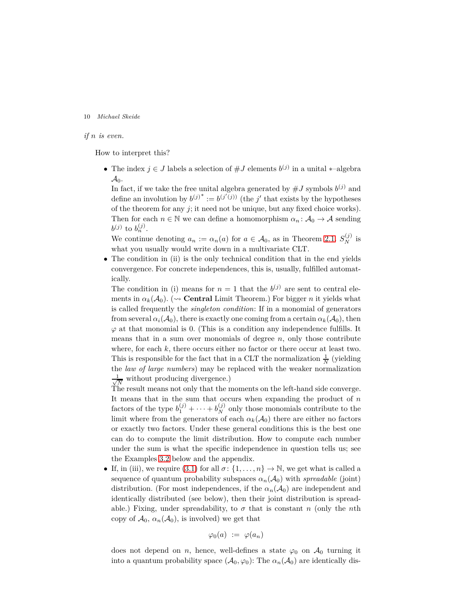### *if n is even.*

How to interpret this?

• The index  $j \in J$  labels a selection of  $\#J$  elements  $b^{(j)}$  in a unital  $*$ -algebra  $\mathcal{A}_0$ .

In fact, if we take the free unital algebra generated by  $\#J$  symbols  $b^{(j)}$  and define an involution by  $b^{(j)^*} := b^{(j'(j))}$  (the *j*' that exists by the hypotheses of the theorem for any *j*; it need not be unique, but any fixed choice works). Then for each  $n \in \mathbb{N}$  we can define a homomorphism  $\alpha_n : A_0 \to A$  sending  $b^{(j)}$  to  $b^{(j)}_{n}$ .

We continue denoting  $a_n := \alpha_n(a)$  for  $a \in \mathcal{A}_0$ , as in Theorem [2.1.](#page-6-1)  $S_N^{(j)}$  is what you usually would write down in a multivariate CLT.

• The condition in (ii) is the only technical condition that in the end yields convergence. For concrete independences, this is, usually, fulfilled automatically.

The condition in (i) means for  $n = 1$  that the  $b^{(j)}$  are sent to central elements in  $\alpha_k(A_0)$ . ( $\rightsquigarrow$  **Central** Limit Theorem.) For bigger *n* it yields what is called frequently the *singleton condition*: If in a monomial of generators from several  $\alpha_i(A_0)$ , there is exactly one coming from a certain  $\alpha_k(A_0)$ , then  $\varphi$  at that monomial is 0. (This is a condition any independence fulfills. It means that in a sum over monomials of degree *n*, only those contribute where, for each  $k$ , there occurs either no factor or there occur at least two. This is responsible for the fact that in a CLT the normalization  $\frac{1}{N}$  (yielding the *law of large numbers*) may be replaced with the weaker normalization √ 1  $\frac{1}{N}$  without producing divergence.)

The result means not only that the moments on the left-hand side converge. It means that in the sum that occurs when expanding the product of *n* factors of the type  $b_1^{(j)} + \cdots + b_N^{(j)}$  only those monomials contribute to the limit where from the generators of each  $\alpha_k(\mathcal{A}_0)$  there are either no factors or exactly two factors. Under these general conditions this is the best one can do to compute the limit distribution. How to compute each number under the sum is what the specific independence in question tells us; see the Examples [3.2](#page-10-0) below and the appendix.

• If, in (iii), we require [\(3.1\)](#page-8-1) for all  $\sigma: \{1, \ldots, n\} \to \mathbb{N}$ , we get what is called a sequence of quantum probability subspaces  $\alpha_n(\mathcal{A}_0)$  with *spreadable* (joint) distribution. (For most independences, if the  $\alpha_n(\mathcal{A}_0)$  are independent and identically distributed (see below), then their joint distribution is spreadable.) Fixing, under spreadability, to  $\sigma$  that is constant *n* (only the *n*th copy of  $\mathcal{A}_0$ ,  $\alpha_n(\mathcal{A}_0)$ , is involved) we get that

$$
\varphi_0(a) := \varphi(a_n)
$$

does not depend on *n*, hence, well-defines a state  $\varphi_0$  on  $\mathcal{A}_0$  turning it into a quantum probability space  $(\mathcal{A}_0, \varphi_0)$ : The  $\alpha_n(\mathcal{A}_0)$  are identically dis-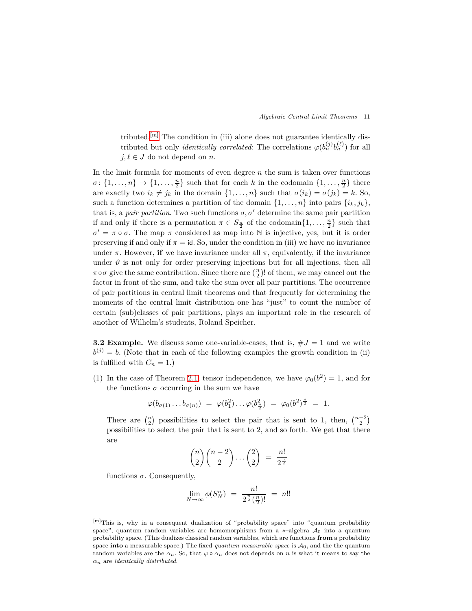tributed.<sup>[\[m\]](#page-10-1)</sup> The condition in (iii) alone does not guarantee identically distributed but only *identically correlated*: The correlations  $\varphi(b_n^{(j)}b_n^{(\ell)})$  for all  $j, \ell \in J$  do not depend on *n*.

In the limit formula for moments of even degree *n* the sum is taken over functions  $\sigma: \{1, \ldots, n\} \to \{1, \ldots, \frac{n}{2}\}$  such that for each *k* in the codomain  $\{1, \ldots, \frac{n}{2}\}$  there are exactly two  $i_k \neq j_k$  in the domain  $\{1, \ldots, n\}$  such that  $\sigma(i_k) = \sigma(j_k) = k$ . So, such a function determines a partition of the domain  $\{1, \ldots, n\}$  into pairs  $\{i_k, j_k\}$ , that is, a *pair partition*. Two such functions  $\sigma$ ,  $\sigma'$  determine the same pair partition if and only if there is a permutation  $\pi \in S_{\frac{n}{2}}$  of the codomain $\{1, \ldots, \frac{n}{2}\}$  such that  $\sigma' = \pi \circ \sigma$ . The map  $\pi$  considered as map into N is injective, yes, but it is order preserving if and only if  $\pi = id$ . So, under the condition in (iii) we have no invariance under  $\pi$ . However, **if** we have invariance under all  $\pi$ , equivalently, if the invariance under  $\vartheta$  is not only for order preserving injections but for all injections, then all  $\pi \circ \sigma$  give the same contribution. Since there are  $(\frac{n}{2})!$  of them, we may cancel out the factor in front of the sum, and take the sum over all pair partitions. The occurrence of pair partitions in central limit theorems and that frequently for determining the moments of the central limit distribution one has "just" to count the number of certain (sub)classes of pair partitions, plays an important role in the research of another of Wilhelm's students, Roland Speicher.

<span id="page-10-0"></span>**3.2 Example.** We discuss some one-variable-cases, that is,  $\#J = 1$  and we write  $b^{(j)} = b$ . (Note that in each of the following examples the growth condition in (ii) is fulfilled with  $C_n = 1$ .)

(1) In the case of Theorem [2.1,](#page-6-1) tensor independence, we have  $\varphi_0(b^2) = 1$ , and for the functions  $\sigma$  occurring in the sum we have

$$
\varphi(b_{\sigma(1)} \ldots b_{\sigma(n)}) = \varphi(b_1^2) \ldots \varphi(b_{\frac{n}{2}}^2) = \varphi_0(b^2)^{\frac{n}{2}} = 1.
$$

There are  $\binom{n}{2}$  possibilities to select the pair that is sent to 1, then,  $\binom{n-2}{2}$ possibilities to select the pair that is sent to 2, and so forth. We get that there are

$$
\binom{n}{2}\binom{n-2}{2}\cdots\binom{2}{2} = \frac{n!}{2^{\frac{n}{2}}}
$$

functions  $\sigma$ . Consequently,

$$
\lim_{N \to \infty} \phi(S_N^n) = \frac{n!}{2^{\frac{n}{2}}(\frac{n}{2})!} = n!!
$$

<span id="page-10-1"></span><sup>[</sup>m]This is, why in a consequent dualization of "probability space" into "quantum probability space", quantum random variables are homomorphisms from a  $*$ -algebra  $\mathcal{A}_0$  into a quantum probability space. (This dualizes classical random variables, which are functions **from** a probability space **into** a measurable space.) The fixed *quantum measurable space* is  $A_0$ , and the the quantum random variables are the  $\alpha_n$ . So, that  $\varphi \circ \alpha_n$  does not depends on *n* is what it means to say the *αn* are *identically distributed*.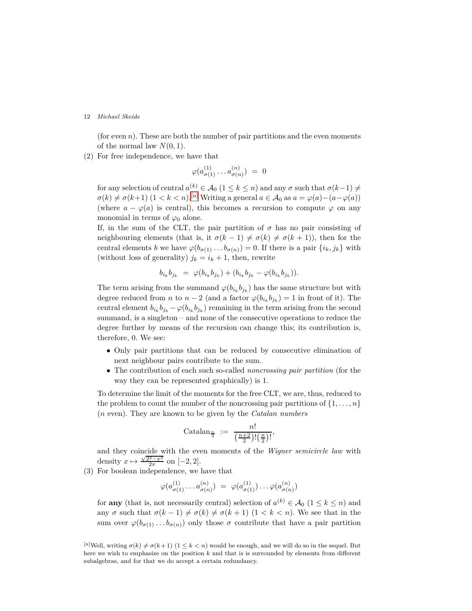(for even  $n$ ). These are both the number of pair partitions and the even moments of the normal law  $N(0, 1)$ .

(2) For free independence, we have that

$$
\varphi(a^{(1)}_{\sigma(1)} \ldots a^{(n)}_{\sigma(n)}) \ = \ 0
$$

for any selection of central  $a^{(k)} \in \mathcal{A}_0$  ( $1 \leq k \leq n$ ) and any  $\sigma$  such that  $\sigma(k-1) \neq$  $\sigma(k) \neq \sigma(k+1)$  (1 < *k* < *n*).<sup>[\[n\]](#page-11-0)</sup> Writing a general  $a \in A_0$  as  $a = \varphi(a) - (a - \varphi(a))$ (where  $a - \varphi(a)$  is central), this becomes a recursion to compute  $\varphi$  on any monomial in terms of  $\varphi_0$  alone.

If, in the sum of the CLT, the pair partition of  $\sigma$  has no pair consisting of neighbouring elements (that is, it  $\sigma(k-1) \neq \sigma(k) \neq \sigma(k+1)$ ), then for the central elements *b* we have  $\varphi(b_{\sigma(1)} \ldots b_{\sigma(n)}) = 0$ . If there is a pair  $\{i_k, j_k\}$  with (without loss of generality)  $j_k = i_k + 1$ , then, rewrite

$$
b_{i_k}b_{j_k} = \varphi(b_{i_k}b_{j_k}) + (b_{i_k}b_{j_k} - \varphi(b_{i_k}b_{j_k})).
$$

The term arising from the summand  $\varphi(b_{i_k}b_{j_k})$  has the same structure but with degree reduced from *n* to  $n-2$  (and a factor  $\varphi(b_{i_k}b_{j_k})=1$  in front of it). The central element  $b_{i_k}b_{j_k} - \varphi(b_{i_k}b_{j_k})$  remaining in the term arising from the second summand, is a singleton – and none of the consecutive operations to reduce the degree further by means of the recursion can change this; its contribution is, therefore, 0. We see:

- Only pair partitions that can be reduced by consecutive elimination of next neighbour pairs contribute to the sum.
- The contribution of each such so-called *noncrossing pair partition* (for the way they can be represented graphically) is 1.

To determine the limit of the moments for the free CLT, we are, thus, reduced to the problem to count the number of the noncrossing pair partitions of  $\{1, \ldots, n\}$ (*n* even). They are known to be given by the *Catalan numbers*

Catalan<sub>$$
\frac{n}{2}
$$</sub> :=  $\frac{n!}{\left(\frac{n+2}{2}\right)!\left(\frac{n}{2}\right)!}$ ,

and they coincide with the even moments of the *Wigner semicircle law* with density  $x \mapsto \frac{\sqrt{2^2 - x^2}}{2\pi}$  on  $[-2, 2]$ .

<span id="page-11-1"></span>(3) For boolean independence, we have that

$$
\varphi(a_{\sigma(1)}^{(1)}\ldots a_{\sigma(n)}^{(n)}) = \varphi(a_{\sigma(1)}^{(1)})\ldots\varphi(a_{\sigma(n)}^{(n)})
$$

for **any** (that is, not necessarily central) selection of  $a^{(k)} \in \mathcal{A}_0$  ( $1 \leq k \leq n$ ) and any  $\sigma$  such that  $\sigma(k-1) \neq \sigma(k) \neq \sigma(k+1)$  (1 < k < n). We see that in the sum over  $\varphi(b_{\sigma(1)}, \ldots, b_{\sigma(n)})$  only those  $\sigma$  contribute that have a pair partition

<span id="page-11-0"></span><sup>&</sup>lt;sup>[n]</sup>Well, writing  $\sigma(k) \neq \sigma(k+1)$  (1  $\leq k < n$ ) would be enough, and we will do so in the sequel. But here we wish to emphasize on the position *k* and that is is surrounded by elements from different subalgebras, and for that we do accept a certain redundancy.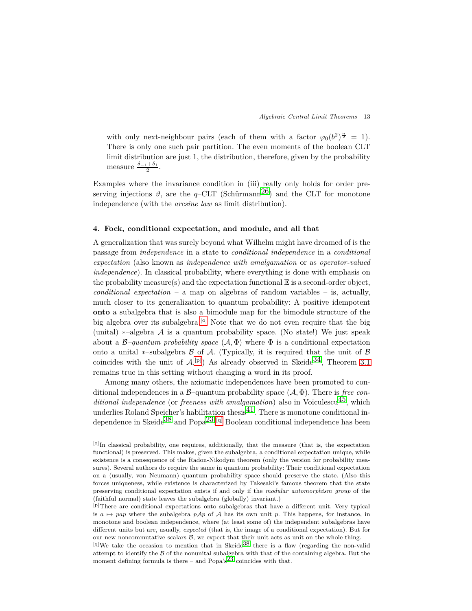with only next-neighbour pairs (each of them with a factor  $\varphi_0(b^2)^{\frac{n}{2}} = 1$ ). There is only one such pair partition. The even moments of the boolean CLT limit distribution are just 1, the distribution, therefore, given by the probability measure  $\frac{\delta_{-1}+\delta_1}{2}$ .

Examples where the invariance condition in (iii) really only holds for order preserving injections  $\vartheta$ , are the *q*–CLT (Schürmann<sup>26</sup>) and the CLT for monotone independence (with the *arcsine law* as limit distribution).

# <span id="page-12-0"></span>**4. Fock, conditional expectation, and module, and all that**

A generalization that was surely beyond what Wilhelm might have dreamed of is the passage from *independence* in a state to *conditional independence* in a *conditional expectation* (also known as *independence with amalgamation* or as *operator-valued independence*). In classical probability, where everything is done with emphasis on the probability measure(s) and the expectation functional  $\mathbb E$  is a second-order object, *conditional expectation* – a map on algebras of random variables – is, actually, much closer to its generalization to quantum probability: A positive idempotent **onto** a subalgebra that is also a bimodule map for the bimodule structure of the big algebra over its subalgebra.<sup>[\[o\]](#page-12-1)</sup> Note that we do not even require that the big (unital)  $*$ –algebra A is a quantum probability space. (No state!) We just speak about a  $\beta$ *–quantum probability space*  $(\mathcal{A}, \Phi)$  where  $\Phi$  is a conditional expectation onto a unital  $\ast$ –subalgebra  $\beta$  of  $\mathcal A$ . (Typically, it is required that the unit of  $\beta$ coincides with the unit of  $\mathcal{A}^{\{p\}}$  As already observed in Skeide<sup>34</sup>, Theorem [3.1](#page-8-2) remains true in this setting without changing a word in its proof.

Among many others, the axiomatic independences have been promoted to conditional independences in a  $\beta$ -quantum probability space  $(\mathcal{A}, \Phi)$ . There is *free conditional independence* (or *freeness with amalgamation*) also in Voiculescu<sup>45</sup>, which underlies Roland Speicher's habilitation thesi[s41.](#page-19-7) There is monotone conditional in-dependence in Skeide<sup>[38](#page-18-7)</sup> and Popa<sup>23</sup>.<sup>[\[q\]](#page-12-3)</sup> Boolean conditional independence has been

<span id="page-12-1"></span><sup>[</sup>o]In classical probability, one requires, additionally, that the measure (that is, the expectation functional) is preserved. This makes, given the subalgebra, a conditional expectation unique, while existence is a consequence of the Radon-Nikodym theorem (only the version for probability measures). Several authors do require the same in quantum probability: Their conditional expectation on a (usually, von Neumann) quantum probability space should preserve the state. (Also this forces uniqueness, while existence is characterized by Takesaki's famous theorem that the state preserving conditional expectation exists if and only if the *modular automorphism group* of the (faithful normal) state leaves the subalgebra (globally) invariant.)

<span id="page-12-2"></span><sup>[</sup>p]There are conditional expectations onto subalgebras that have a different unit. Very typical is  $a \mapsto pap$  where the subalgebra  $pAp$  of A has its own unit p. This happens, for instance, in monotone and boolean independence, where (at least some of) the independent subalgebras have different units but are, usually, *expected* (that is, the image of a conditional expectation). But for our new noncommutative scalars  $B$ , we expect that their unit acts as unit on the whole thing.

<span id="page-12-3"></span> $[q]$ We take the occasion to mention that in Skeide<sup>[38](#page-18-7)</sup> there is a flaw (regarding the non-valid attempt to identify the B of the nonunital subalgebra with that of the containing algebra. But the moment defining formula is there – and Popa's<sup>[23](#page-18-12)</sup> coincides with that.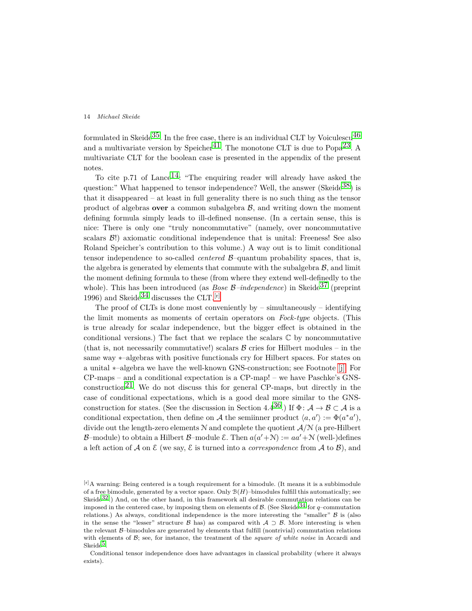formulated in Skeide<sup>35</sup>. In the free case, there is an individual CLT by Voiculescu<sup>46</sup> and a multivariate version by Speicher<sup>41</sup>. The monotone CLT is due to  $Popa^{23}$ . A multivariate CLT for the boolean case is presented in the appendix of the present notes.

To cite p.71 of Lance<sup>14</sup>: "The enquiring reader will already have asked the question:" What happened to tensor independence? Well, the answer (Skeide<sup>38</sup>) is that it disappeared – at least in full generality there is no such thing as the tensor product of algebras **over** a common subalgebra  $\mathcal{B}$ , and writing down the moment defining formula simply leads to ill-defined nonsense. (In a certain sense, this is nice: There is only one "truly noncommutative" (namely, over noncommutative scalars  $\mathcal{B}$ !) axiomatic conditional independence that is unital: Freeness! See also Roland Speicher's contribution to this volume.) A way out is to limit conditional tensor independence to so-called *centered* B–quantum probability spaces, that is, the algebra is generated by elements that commute with the subalgebra  $B$ , and limit the moment defining formula to these (from where they extend well-definedly to the whole). This has been introduced (as *Bose B–independence*) in Skeide<sup>[37](#page-18-14)</sup> (preprint 1996) and Skeide<sup>34</sup> discusses the CLT.<sup>[\[r\]](#page-13-0)</sup>

The proof of CLTs is done most conveniently by  $-$  simultaneously  $-$  identifying the limit moments as moments of certain operators on *Fock-type* objects. (This is true already for scalar independence, but the bigger effect is obtained in the conditional versions.) The fact that we replace the scalars  $\mathbb C$  by noncommutative (that is, not necessarily commutative!) scalars  $\beta$  cries for Hilbert modules – in the same way ∗–algebras with positive functionals cry for Hilbert spaces. For states on a unital ∗–algebra we have the well-known GNS-construction; see Footnote [\[j\].](#page-4-2) For CP-maps – and a conditional expectation is a CP-map! – we have Paschke's GNSconstruction<sup>21</sup>. We do not discuss this for general CP-maps, but directly in the case of conditional expectations, which is a good deal more similar to the GNSconstruction for states. (See the discussion in Section 4.4<sup>36</sup>.) If  $\Phi: \mathcal{A} \to \mathcal{B} \subset \mathcal{A}$  is a conditional expectation, then define on A the semiinner product  $\langle a, a' \rangle := \Phi(a^*a'),$ divide out the length-zero elements <sup>N</sup> and complete the quotient <sup>A</sup>*/*<sup>N</sup> (a pre-Hilbert B–module) to obtain a Hilbert B–module  $\mathcal{E}$ . Then  $a(a'+\mathcal{N}) := aa' + \mathcal{N}$  (well-)defines a left action of  $\mathcal A$  on  $\mathcal E$  (we say,  $\mathcal E$  is turned into a *correspondence* from  $\mathcal A$  to  $\mathcal B$ ), and

<span id="page-13-0"></span><sup>[</sup>r]A warning: Being centered is a tough requirement for a bimodule. (It means it is a subbimodule of a free bimodule, generated by a vector space. Only B(*H*)–bimodules fulfill this automatically; see Skeide<sup>32</sup>.) And, on the other hand, in this framework all desirable commutation relations can be imposed in the centered case, by imposing them on elements of  $\mathcal{B}$ . (See Skeide<sup>34</sup> for *q*–commutation relations.) As always, conditional independence is the more interesting the "smaller"  $\beta$  is (also in the sense the "lesser" structure B has) as compared with  $A \supset B$ . More interesting is when the relevant B–bimodules are generated by elements that fulfill (nontrivial) commutation relations with elements of B; see, for instance, the treatment of the *square of white noise* in Accardi and  $Skeide<sup>5</sup>$ .

Conditional tensor independence does have advantages in classical probability (where it always exists).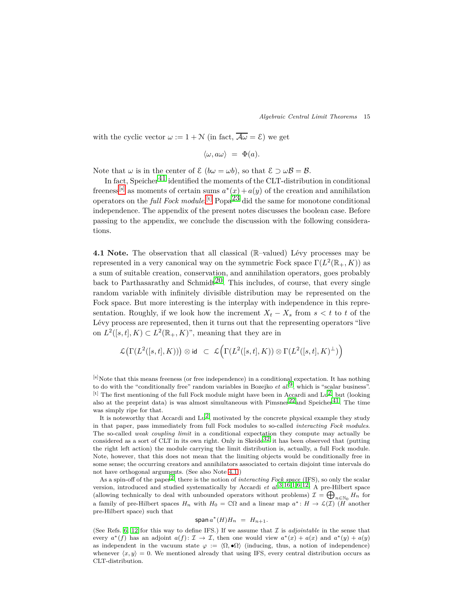with the cyclic vector  $\omega := 1 + \mathcal{N}$  (in fact,  $\overline{\mathcal{A}\omega} = \mathcal{E}$ ) we get

$$
\langle \omega, a\omega \rangle = \Phi(a).
$$

Note that  $\omega$  is in the center of  $\mathcal{E}$  ( $b\omega = \omega b$ ), so that  $\mathcal{E} \supset \omega \mathcal{B} = \mathcal{B}$ .

In fact, Speicher<sup>[41](#page-19-7)</sup> identified the moments of the CLT-distribution in conditional freeness<sup>[\[s\]](#page-14-0)</sup> as moments of certain sums  $a^*(x) + a(y)$  of the creation and annihilation operators on the *full Fock module*.<sup>[\[t\]](#page-14-1)</sup> Popa<sup>[23](#page-18-12)</sup> did the same for monotone conditional independence. The appendix of the present notes discusses the boolean case. Before passing to the appendix, we conclude the discussion with the following considerations.

<span id="page-14-2"></span>**4.1 Note.** The observation that all classical (R-valued) Lévy processes may be represented in a very canonical way on the symmetric Fock space  $\Gamma(L^2(\mathbb{R}_+, K))$  as a sum of suitable creation, conservation, and annihilation operators, goes probably back to Parthasarathy and Schmidt<sup>20</sup>. This includes, of course, that every single random variable with infinitely divisible distribution may be represented on the Fock space. But more interesting is the interplay with independence in this representation. Roughly, if we look how the increment  $X_t - X_s$  from  $s < t$  to *t* of the Lévy process are represented, then it turns out that the representing operators "live on  $L^2([s,t], K) \subset L^2(\mathbb{R}_+, K)$ ", meaning that they are in

$$
\mathcal{L}\big(\Gamma(L^2([s,t],K))\big)\otimes \mathrm{id} \;\;\subset \;\; \mathcal{L}\Big(\Gamma(L^2([s,t],K))\otimes \Gamma(L^2([s,t],K)^\perp)\Big)
$$

<span id="page-14-0"></span>[s]Note that this means freeness (or free independence) in a conditional expectation. It has nothing to do with the "conditionally free" random variables in Bozejko *et al.*[9,](#page-17-15) which is "scalar business". [t] The first mentioning of the full Fock module might have been in Accardi and Lu<sup>2</sup>, but (looking also at the preprint data) is was almost simultaneous with  $Pimsner^{22}$  and  $Speicher^{41}$ . The time was simply ripe for that.

<span id="page-14-1"></span>It is noteworthy that Accardi and  $\text{Lu}^2$ , motivated by the concrete physical example they study in that paper, pass immediately from full Fock modules to so-called *interacting Fock modules*. The so-called *weak coupling limit* in a conditional expectation they compute may actually be considered as a sort of CLT in its own right. Only in Skeide<sup>[32](#page-18-17)</sup> it has been observed that (putting the right left action) the module carrying the limit distribution is, actually, a full Fock module. Note, however, that this does not mean that the limiting objects would be conditionally free in some sense; the occurring creators and annihilators associated to certain disjoint time intervals do not have orthogonal arguments. (See also Note [4.1.](#page-14-2))

As a spin-off of the paper<sup>2</sup>, there is the notion of *interacting Fock space* (IFS), so only the scalar version, introduced and studied systematically by Accardi *et al.*[3](#page-17-17)*,*[16](#page-17-5)*,*[1](#page-17-11)*,*[6](#page-17-18)*,*[12:](#page-17-19) A pre-Hilbert space (allowing technically to deal with unbounded operators without problems)  $\mathcal{I} = \bigoplus_{n \in \mathbb{N}_0} H_n$  for a family of pre-Hilbert spaces  $H_n$  with  $H_0 = \mathbb{C}\Omega$  and a linear map  $a^*: H \to \mathcal{L}(\mathcal{I})$  ( $H$  another pre-Hilbert space) such that

$$
\operatorname{span} a^*(H)H_n = H_{n+1}.
$$

(See Refs. [6,](#page-17-18) [12](#page-17-19) for this way to define IFS.) If we assume that  $\mathcal I$  is *adjointable* in the sense that every  $a^*(f)$  has an adjoint  $a(f): \mathcal{I} \to \mathcal{I}$ , then one would view  $a^*(x) + a(x)$  and  $a^*(y) + a(y)$ as independent in the vacuum state  $\varphi := \langle \Omega, \bullet \Omega \rangle$  (inducing, thus, a notion of independence) whenever  $\langle x, y \rangle = 0$ . We mentioned already that using IFS, every central distribution occurs as CLT-distribution.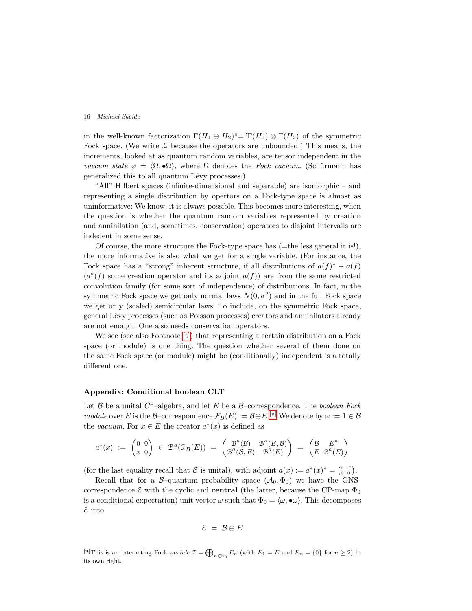in the well-known factorization  $\Gamma(H_1 \oplus H_2) = \Gamma(H_1) \otimes \Gamma(H_2)$  of the symmetric Fock space. (We write  $\mathcal L$  because the operators are unbounded.) This means, the increments, looked at as quantum random variables, are tensor independent in the *vaccum state*  $\varphi = \langle \Omega, \bullet \Omega \rangle$ , where  $\Omega$  denotes the *Fock vacuum*. (Schürmann has generalized this to all quantum Lévy processes.)

"All" Hilbert spaces (infinite-dimensional and separable) are isomorphic – and representing a single distribution by opertors on a Fock-type space is almost as uninformative: We know, it is always possible. This becomes more interesting, when the question is whether the quantum random variables represented by creation and annihilation (and, sometimes, conservation) operators to disjoint intervalls are indedent in some sense.

Of course, the more structure the Fock-type space has (=the less general it is!), the more informative is also what we get for a single variable. (For instance, the Fock space has a "strong" inherent structure, if all distributions of  $a(f)^* + a(f)$  $(a^*(f)$  some creation operator and its adjoint  $a(f)$  are from the same restricted convolution family (for some sort of independence) of distributions. In fact, in the symmetric Fock space we get only normal laws  $N(0, \sigma^2)$  and in the full Fock space we get only (scaled) semicircular laws. To include, on the symmetric Fock space, general L`evy processes (such as Poisson processes) creators and annihilators already are not enough: One also needs conservation operators.

We see (see also Footnote [\[t\]\)](#page-14-1) that representing a certain distribution on a Fock space (or module) is one thing. The question whether several of them done on the same Fock space (or module) might be (conditionally) independent is a totally different one.

#### **Appendix: Conditional boolean CLT**

Let B be a unital *C* <sup>∗</sup>–algebra, and let *E* be a B–correspondence. The *boolean Fock module* over *E* is the  $\mathcal{B}$ –correspondence  $\mathcal{F}_B(E) := \mathcal{B} \oplus E$ . <sup>[\[u\]](#page-15-0)</sup> We denote by  $\omega := 1 \in \mathcal{B}$ the *vacuum*. For  $x \in E$  the creator  $a^*(x)$  is defined as

$$
a^*(x) := \begin{pmatrix} 0 & 0 \\ x & 0 \end{pmatrix} \in \mathcal{B}^a(\mathcal{F}_B(E)) = \begin{pmatrix} \mathcal{B}^a(\mathcal{B}) & \mathcal{B}^a(E, \mathcal{B}) \\ \mathcal{B}^a(\mathcal{B}, E) & \mathcal{B}^a(E) \end{pmatrix} = \begin{pmatrix} \mathcal{B} & E^* \\ E & \mathcal{B}^a(E) \end{pmatrix}
$$

(for the last equality recall that B is unital), with adjoint  $a(x) := a^*(x)^* = \begin{pmatrix} 0 & x^* \\ 0 & 0 \end{pmatrix}$ .

Recall that for a  $\beta$ -quantum probability space  $(\mathcal{A}_0, \Phi_0)$  we have the GNScorrespondence  $\mathcal E$  with the cyclic and **central** (the latter, because the CP-map  $\Phi_0$ is a conditional expectation) unit vector  $\omega$  such that  $\Phi_0 = \langle \omega, \bullet \omega \rangle$ . This decomposes E into

$$
\mathcal{E} = \mathcal{B} \oplus E
$$

<span id="page-15-0"></span>[u]This is an interacting Fock module  $\mathcal{I} = \bigoplus_{n \in \mathbb{N}_0} E_n$  (with  $E_1 = E$  and  $E_n = \{0\}$  for  $n \ge 2$ ) in its own right.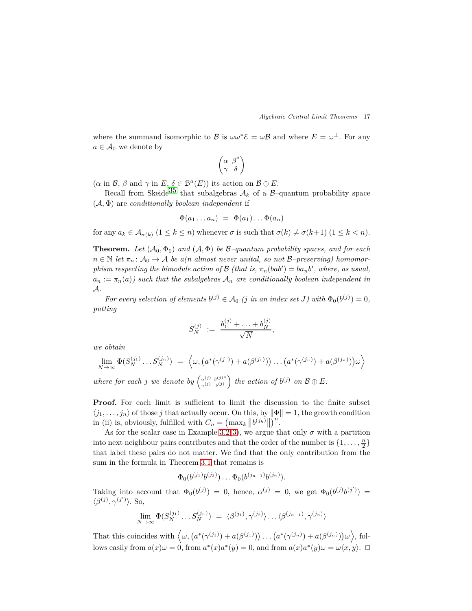where the summand isomorphic to  $\mathcal{B}$  is  $\omega \omega^* \mathcal{E} = \omega \mathcal{B}$  and where  $E = \omega^{\perp}$ . For any  $a \in \mathcal{A}_0$  we denote by

$$
\left(\begin{matrix} \alpha & \beta^* \\ \gamma & \delta \end{matrix}\right)
$$

 $(\alpha \text{ in } \mathcal{B}, \beta \text{ and } \gamma \text{ in } E, \delta \in \mathcal{B}^a(E)) \text{ its action on } \mathcal{B} \oplus E.$ 

Recall from Skeide<sup>[35](#page-18-13)</sup> that subalgebras  $A_k$  of a B-quantum probability space (A*,* Φ) are *conditionally boolean independent* if

$$
\Phi(a_1 \ldots a_n) = \Phi(a_1) \ldots \Phi(a_n)
$$

for any  $a_k \in \mathcal{A}_{\sigma(k)}$   $(1 \leq k \leq n)$  whenever  $\sigma$  is such that  $\sigma(k) \neq \sigma(k+1)$   $(1 \leq k < n)$ .

**Theorem.** Let  $(A_0, \Phi_0)$  and  $(A, \Phi)$  be  $\mathcal{B}-quantum$  probability spaces, and for each  $n \in \mathbb{N}$  *let*  $\pi_n : A_0 \to A$  *be a(n almost never unital, so not*  $B$ –*preserving) homomorphism respecting the bimodule action of*  $\mathcal{B}$  *(that is,*  $\pi_n(bab') = ba_nb'$ *, where, as usual,*  $a_n := \pi_n(a)$  *such that the subalgebras*  $A_n$  *are conditionally boolean independent in* A*.*

*For every selection of elements*  $b^{(j)} \in A_0$  (*j in an index set J*) with  $\Phi_0(b^{(j)}) = 0$ , *putting*

$$
S_N^{(j)} \ := \ \frac{b_1^{(j)} + \ldots + b_N^{(j)}}{\sqrt{N}},
$$

*we obtain*

$$
\lim_{N \to \infty} \Phi(S_N^{(j_1)} \dots S_N^{(j_n)}) = \left\langle \omega, \left( a^*(\gamma^{(j_1)}) + a(\beta^{(j_1)}) \right) \dots \left( a^*(\gamma^{(j_n)}) + a(\beta^{(j_n)}) \right) \omega \right\rangle
$$

*where for each j we denote by*  $\begin{pmatrix} \alpha^{(j)} & \beta^{(j)*} \\ \gamma^{(j)} & \delta^{(j)} \end{pmatrix}$  $\left(\begin{array}{c} \n\alpha^{(j)} \beta^{(j)*} \\ \n\gamma^{(j)} \delta^{(j)}\n\end{array}\right)$  the action of  $b^{(j)}$  on  $\mathcal{B} \oplus E$ .

Proof. For each limit is sufficient to limit the discussion to the finite subset  $\langle j_1, \ldots, j_n \rangle$  of those *j* that actually occur. On this, by  $\|\Phi\| = 1$ , the growth condition in (ii) is, obviously, fulfilled with  $C_n = \left(\max_k \left\| b^{(j_k)} \right\| \right)^n$ .

As for the scalar case in Example [3.2\(](#page-10-0)[3\)](#page-11-1), we argue that only  $\sigma$  with a partition into next neighbour pairs contributes and that the order of the number is  $\{1, \ldots, \frac{n}{2}\}$ that label these pairs do not matter. We find that the only contribution from the sum in the formula in Theorem [3.1](#page-8-2) that remains is

$$
\Phi_0(b^{(j_1)}b^{(j_2)})\dots\Phi_0(b^{(j_{n-1})}b^{(j_n)}).
$$

Taking into account that  $\Phi_0(b^{(j)}) = 0$ , hence,  $\alpha^{(j)} = 0$ , we get  $\Phi_0(b^{(j)}b^{(j')}) = 0$  $\langle \beta^{(j)}, \gamma^{(j')} \rangle$ . So,

$$
\lim_{N \to \infty} \Phi(S_N^{(j_1)} \dots S_N^{(j_n)}) = \langle \beta^{(j_1)}, \gamma^{(j_2)} \rangle \dots \langle \beta^{(j_{n-1})}, \gamma^{(j_n)} \rangle
$$

That this coincides with  $\langle \omega, (a^*(\gamma^{(j_1)}) + a(\beta^{(j_1)})) \dots (a^*(\gamma^{(j_n)}) + a(\beta^{(j_n)})) \omega \rangle$ , follows easily from  $a(x) \omega = 0$ , from  $a^*(x) a^*(y) = 0$ , and from  $a(x) a^*(y) \omega = \omega \langle x, y \rangle$ .  $\Box$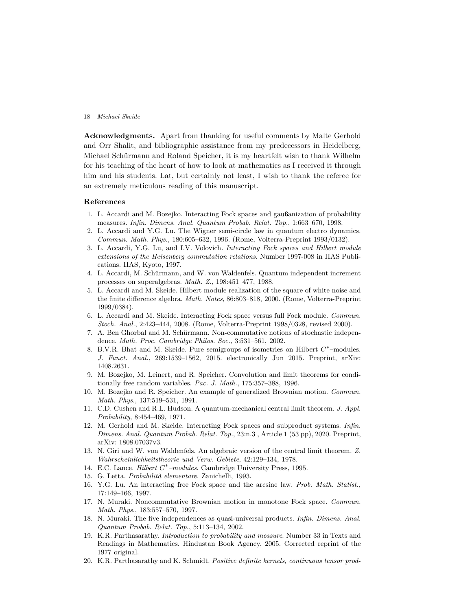**Acknowledgments.** Apart from thanking for useful comments by Malte Gerhold and Orr Shalit, and bibliographic assistance from my predecessors in Heidelberg, Michael Schürmann and Roland Speicher, it is my heartfelt wish to thank Wilhelm for his teaching of the heart of how to look at mathematics as I received it through him and his students. Lat, but certainly not least, I wish to thank the referee for an extremely meticulous reading of this manuscript.

# <span id="page-17-11"></span>**References**

- 1. L. Accardi and M. Bozejko. Interacting Fock spaces and gaußanization of probability measures. *Infin. Dimens. Anal. Quantum Probab. Relat. Top.*, 1:663–670, 1998.
- <span id="page-17-16"></span>2. L. Accardi and Y.G. Lu. The Wigner semi-circle law in quantum electro dynamics. *Commun. Math. Phys.*, 180:605–632, 1996. (Rome, Volterra-Preprint 1993/0132).
- <span id="page-17-17"></span>3. L. Accardi, Y.G. Lu, and I.V. Volovich. *Interacting Fock spaces and Hilbert module extensions of the Heisenberg commutation relations*. Number 1997-008 in IIAS Publications. IIAS, Kyoto, 1997.
- <span id="page-17-13"></span><span id="page-17-8"></span>4. L. Accardi, M. Schürmann, and W. von Waldenfels. Quantum independent increment processes on superalgebras. *Math. Z.*, 198:451–477, 1988.
- 5. L. Accardi and M. Skeide. Hilbert module realization of the square of white noise and the finite difference algebra. *Math. Notes*, 86:803–818, 2000. (Rome, Volterra-Preprint 1999/0384).
- <span id="page-17-18"></span>6. L. Accardi and M. Skeide. Interacting Fock space versus full Fock module. *Commun. Stoch. Anal.*, 2:423–444, 2008. (Rome, Volterra-Preprint 1998/0328, revised 2000).
- <span id="page-17-9"></span>7. A. Ben Ghorbal and M. Schürmann. Non-commutative notions of stochastic independence. *Math. Proc. Cambridge Philos. Soc.*, 3:531–561, 2002.
- <span id="page-17-0"></span>8. B.V.R. Bhat and M. Skeide. Pure semigroups of isometries on Hilbert *C* ∗ –modules. *J. Funct. Anal.*, 269:1539–1562, 2015. electronically Jun 2015. Preprint, arXiv: 1408.2631.
- <span id="page-17-15"></span>9. M. Bozejko, M. Leinert, and R. Speicher. Convolution and limit theorems for conditionally free random variables. *Pac. J. Math.*, 175:357–388, 1996.
- <span id="page-17-7"></span>10. M. Bozejko and R. Speicher. An example of generalized Brownian motion. *Commun. Math. Phys.*, 137:519–531, 1991.
- <span id="page-17-4"></span>11. C.D. Cushen and R.L. Hudson. A quantum-mechanical central limit theorem. *J. Appl. Probability*, 8:454–469, 1971.
- <span id="page-17-19"></span>12. M. Gerhold and M. Skeide. Interacting Fock spaces and subproduct systems. *Infin. Dimens. Anal. Quantum Probab. Relat. Top.*, 23:n.3 , Article 1 (53 pp), 2020. Preprint, arXiv: 1808.07037v3.
- <span id="page-17-3"></span>13. N. Giri and W. von Waldenfels. An algebraic version of the central limit theorem. *Z. Wahrscheinlichkeitstheorie und Verw. Gebiete*, 42:129–134, 1978.
- <span id="page-17-12"></span><span id="page-17-1"></span>14. E.C. Lance. *Hilbert C* ∗ *–modules*. Cambridge University Press, 1995.
- <span id="page-17-5"></span>15. G. Letta. *Probabilit`a elementare*. Zanichelli, 1993.
- 16. Y.G. Lu. An interacting free Fock space and the arcsine law. *Prob. Math. Statist.*, 17:149–166, 1997.
- <span id="page-17-6"></span>17. N. Muraki. Noncommutative Brownian motion in monotone Fock space. *Commun. Math. Phys.*, 183:557–570, 1997.
- <span id="page-17-10"></span>18. N. Muraki. The five independences as quasi-universal products. *Infin. Dimens. Anal. Quantum Probab. Relat. Top.*, 5:113–134, 2002.
- <span id="page-17-2"></span>19. K.R. Parthasarathy. *Introduction to probability and measure*. Number 33 in Texts and Readings in Mathematics. Hindustan Book Agency, 2005. Corrected reprint of the 1977 original.
- <span id="page-17-14"></span>20. K.R. Parthasarathy and K. Schmidt. *Positive definite kernels, continuous tensor prod-*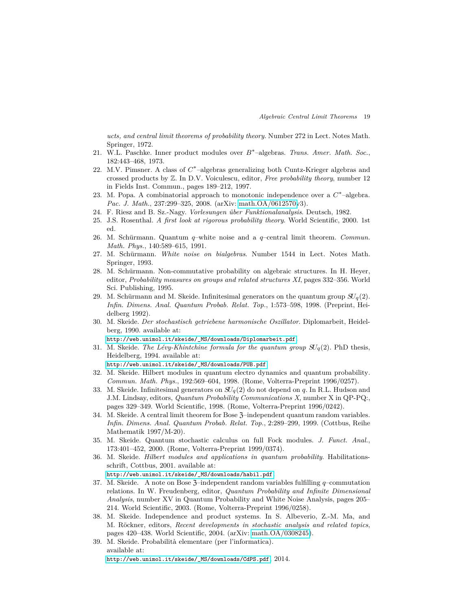*ucts, and central limit theorems of probability theory*. Number 272 in Lect. Notes Math. Springer, 1972.

- <span id="page-18-18"></span><span id="page-18-15"></span>21. W.L. Paschke. Inner product modules over *B* ∗ –algebras. *Trans. Amer. Math. Soc.*, 182:443–468, 1973.
- 22. M.V. Pimsner. A class of  $C^*$ -algebras generalizing both Cuntz-Krieger algebras and crossed products by Z. In D.V. Voiculescu, editor, *Free probability theory*, number 12 in Fields Inst. Commun., pages 189–212, 1997.
- <span id="page-18-12"></span>23. M. Popa. A combinatorial approach to monotonic independence over a  $C^*$ -algebra. *Pac. J. Math.*, 237:299–325, 2008. (arXiv: [math.OA/0612570v](http://arxiv.org/abs/math/0612570)3).
- <span id="page-18-6"></span><span id="page-18-5"></span>24. F. Riesz and B. Sz.-Nagy. *Vorlesungen ¨uber Funktionalanalysis*. Deutsch, 1982.
- <span id="page-18-10"></span>25. J.S. Rosenthal. *A first look at rigorous probability theory*. World Scientific, 2000. 1st ed.
- 26. M. Schürmann. Quantum *q*–white noise and a *q*–central limit theorem. *Commun. Math. Phys.*, 140:589–615, 1991.
- <span id="page-18-9"></span>27. M. Schürmann. *White noise on bialgebras*. Number 1544 in Lect. Notes Math. Springer, 1993.
- <span id="page-18-8"></span>28. M. Schürmann. Non-commutative probability on algebraic structures. In H. Heyer, editor, *Probability measures on groups and related structures XI*, pages 332–356. World Sci. Publishing, 1995.
- <span id="page-18-1"></span>29. M. Schürmann and M. Skeide. Infinitesimal generators on the quantum group  $SU_q(2)$ . *Infin. Dimens. Anal. Quantum Probab. Relat. Top.*, 1:573–598, 1998. (Preprint, Heidelberg 1992).
- <span id="page-18-0"></span>30. M. Skeide. *Der stochastisch getriebene harmonische Oszillator*. Diplomarbeit, Heidelberg, 1990. available at:

[http://web.unimol.it/skeide/\\_MS/downloads/Diplomarbeit.pdf](http://web.unimol.it/skeide/_MS/downloads/Diplomarbeit.pdf).

<span id="page-18-3"></span>31. M. Skeide. *The Lévy-Khintchine formula for the quantum group*  $SU_q(2)$ . PhD thesis, Heidelberg, 1994. available at:

[http://web.unimol.it/skeide/\\_MS/downloads/PUB.pdf](http://web.unimol.it/skeide/_MS/downloads/PUB.pdf).

- <span id="page-18-17"></span>32. M. Skeide. Hilbert modules in quantum electro dynamics and quantum probability. *Commun. Math. Phys.*, 192:569–604, 1998. (Rome, Volterra-Preprint 1996/0257).
- <span id="page-18-2"></span>33. M. Skeide. Infinitesimal generators on  $SU_q(2)$  do not depend on  $q$ . In R.L. Hudson and J.M. Lindsay, editors, *Quantum Probability Communications X*, number X in QP-PQ:, pages 329–349. World Scientific, 1998. (Rome, Volterra-Preprint 1996/0242).
- <span id="page-18-11"></span>34. M. Skeide. A central limit theorem for Bose Z–independent quantum random variables. *Infin. Dimens. Anal. Quantum Probab. Relat. Top.*, 2:289–299, 1999. (Cottbus, Reihe Mathematik 1997/M-20).
- <span id="page-18-13"></span>35. M. Skeide. Quantum stochastic calculus on full Fock modules. *J. Funct. Anal.*, 173:401–452, 2000. (Rome, Volterra-Preprint 1999/0374).
- <span id="page-18-16"></span>36. M. Skeide. *Hilbert modules and applications in quantum probability*. Habilitationsschrift, Cottbus, 2001. available at:

[http://web.unimol.it/skeide/\\_MS/downloads/habil.pdf](http://web.unimol.it/skeide/_MS/downloads/habil.pdf).

- <span id="page-18-14"></span>37. M. Skeide. A note on Bose Z–independent random variables fulfilling *q*–commutation relations. In W. Freudenberg, editor, *Quantum Probability and Infinite Dimensional Analysis*, number XV in Quantum Probability and White Noise Analysis, pages 205– 214. World Scientific, 2003. (Rome, Volterra-Preprint 1996/0258).
- <span id="page-18-7"></span>38. M. Skeide. Independence and product systems. In S. Albeverio, Z.-M. Ma, and M. Röckner, editors, *Recent developments in stochastic analysis and related topics*, pages 420–438. World Scientific, 2004. (arXiv: [math.OA/0308245\)](http://arxiv.org/abs/math/0308245).
- <span id="page-18-4"></span>39. M. Skeide. Probabilit`a elementare (per l'informatica). available at: [http://web.unimol.it/skeide/\\_MS/downloads/CdPS.pdf](http://web.unimol.it/skeide/_MS/downloads/CdPS.pdf), 2014.